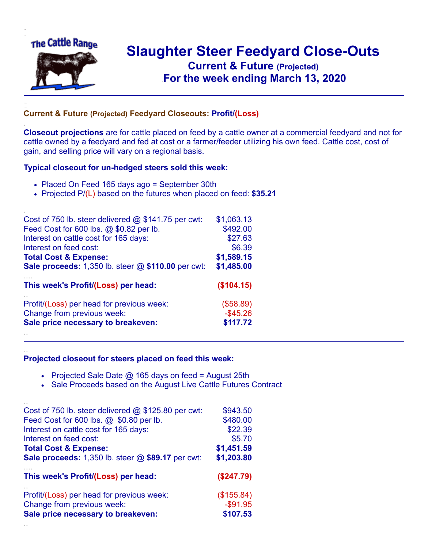

.

..

## **Slaughter Steer Feedyard Close-Outs Current & Future (Projected)** .**For the week ending March 13, 2020**

## **Current & Future (Projected) Feedyard Closeouts: Profit/(Loss)**

**Closeout projections** are for cattle placed on feed by a cattle owner at a commercial feedyard and not for cattle owned by a feedyard and fed at cost or a farmer/feeder utilizing his own feed. Cattle cost, cost of gain, and selling price will vary on a regional basis.

## **Typical closeout for un-hedged steers sold this week:**

- Placed On Feed 165 days ago = September 30th
- Projected P/(L) based on the futures when placed on feed: **\$35.21**

| Cost of 750 lb. steer delivered $@$ \$141.75 per cwt:       | \$1,063.13  |
|-------------------------------------------------------------|-------------|
| Feed Cost for 600 lbs. @ \$0.82 per lb.                     | \$492.00    |
| Interest on cattle cost for 165 days:                       | \$27.63     |
| Interest on feed cost:                                      | \$6.39      |
| <b>Total Cost &amp; Expense:</b>                            | \$1,589.15  |
| <b>Sale proceeds:</b> 1,350 lb. steer $@$ \$110.00 per cwt: | \$1,485.00  |
| This week's Profit/(Loss) per head:                         | (\$104.15)  |
| Profit/(Loss) per head for previous week:                   | (\$58.89)   |
| Change from previous week:                                  | $-$ \$45.26 |
| Sale price necessary to breakeven:                          | \$117.72    |
|                                                             |             |

## **Projected closeout for steers placed on feed this week:**

- Projected Sale Date  $@$  165 days on feed = August 25th
- Sale Proceeds based on the August Live Cattle Futures Contract

| Cost of 750 lb. steer delivered $@$ \$125.80 per cwt: | \$943.50    |
|-------------------------------------------------------|-------------|
| Feed Cost for 600 lbs. @ \$0.80 per lb.               | \$480.00    |
| Interest on cattle cost for 165 days:                 | \$22.39     |
| Interest on feed cost:                                | \$5.70      |
| <b>Total Cost &amp; Expense:</b>                      | \$1,451.59  |
| Sale proceeds: 1,350 lb. steer @ \$89.17 per cwt:     | \$1,203.80  |
| This week's Profit/(Loss) per head:                   | (\$247.79)  |
| Profit/(Loss) per head for previous week:             | (\$155.84)  |
| Change from previous week:                            | $-$ \$91.95 |
| Sale price necessary to breakeven:                    | \$107.53    |
|                                                       |             |